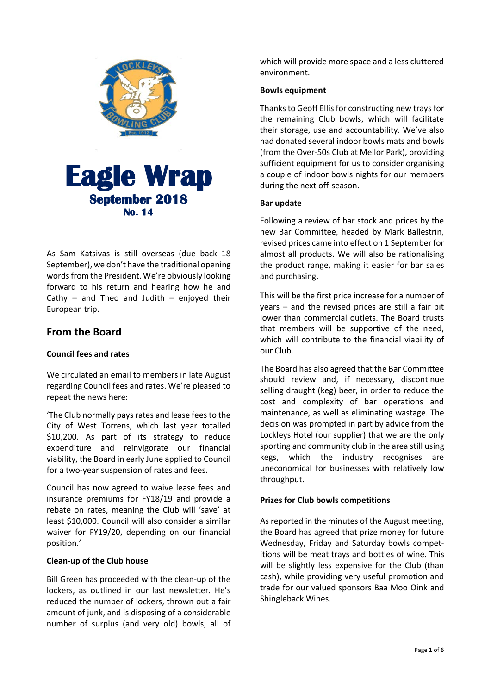

As Sam Katsivas is still overseas (due back 18 September), we don't have the traditional opening words from the President. We're obviously looking forward to his return and hearing how he and Cathy – and Theo and Judith – enjoyed their European trip.

# **From the Board**

## **Council fees and rates**

We circulated an email to members in late August regarding Council fees and rates. We're pleased to repeat the news here:

'The Club normally pays rates and lease fees to the City of West Torrens, which last year totalled \$10,200. As part of its strategy to reduce expenditure and reinvigorate our financial viability, the Board in early June applied to Council for a two-year suspension of rates and fees.

Council has now agreed to waive lease fees and insurance premiums for FY18/19 and provide a rebate on rates, meaning the Club will 'save' at least \$10,000. Council will also consider a similar waiver for FY19/20, depending on our financial position.'

#### **Clean-up of the Club house**

Bill Green has proceeded with the clean-up of the lockers, as outlined in our last newsletter. He's reduced the number of lockers, thrown out a fair amount of junk, and is disposing of a considerable number of surplus (and very old) bowls, all of

which will provide more space and a less cluttered environment.

#### **Bowls equipment**

Thanks to Geoff Ellis for constructing new trays for the remaining Club bowls, which will facilitate their storage, use and accountability. We've also had donated several indoor bowls mats and bowls (from the Over-50s Club at Mellor Park), providing sufficient equipment for us to consider organising a couple of indoor bowls nights for our members during the next off-season.

#### **Bar update**

Following a review of bar stock and prices by the new Bar Committee, headed by Mark Ballestrin, revised prices came into effect on 1 September for almost all products. We will also be rationalising the product range, making it easier for bar sales and purchasing.

This will be the first price increase for a number of years – and the revised prices are still a fair bit lower than commercial outlets. The Board trusts that members will be supportive of the need, which will contribute to the financial viability of our Club.

The Board has also agreed that the Bar Committee should review and, if necessary, discontinue selling draught (keg) beer, in order to reduce the cost and complexity of bar operations and maintenance, as well as eliminating wastage. The decision was prompted in part by advice from the Lockleys Hotel (our supplier) that we are the only sporting and community club in the area still using kegs, which the industry recognises are uneconomical for businesses with relatively low throughput.

## **Prizes for Club bowls competitions**

As reported in the minutes of the August meeting, the Board has agreed that prize money for future Wednesday, Friday and Saturday bowls competitions will be meat trays and bottles of wine. This will be slightly less expensive for the Club (than cash), while providing very useful promotion and trade for our valued sponsors Baa Moo Oink and Shingleback Wines.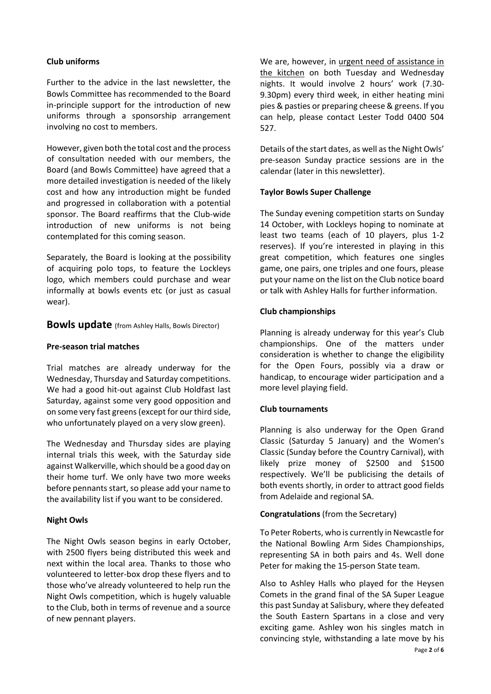#### **Club uniforms**

Further to the advice in the last newsletter, the Bowls Committee has recommended to the Board in-principle support for the introduction of new uniforms through a sponsorship arrangement involving no cost to members.

However, given both the total cost and the process of consultation needed with our members, the Board (and Bowls Committee) have agreed that a more detailed investigation is needed of the likely cost and how any introduction might be funded and progressed in collaboration with a potential sponsor. The Board reaffirms that the Club-wide introduction of new uniforms is not being contemplated for this coming season.

Separately, the Board is looking at the possibility of acquiring polo tops, to feature the Lockleys logo, which members could purchase and wear informally at bowls events etc (or just as casual wear).

**Bowls update** (from Ashley Halls, Bowls Director)

#### **Pre-season trial matches**

Trial matches are already underway for the Wednesday, Thursday and Saturday competitions. We had a good hit-out against Club Holdfast last Saturday, against some very good opposition and on some very fast greens (except for our third side, who unfortunately played on a very slow green).

The Wednesday and Thursday sides are playing internal trials this week, with the Saturday side against Walkerville, which should be a good day on their home turf. We only have two more weeks before pennants start, so please add your name to the availability list if you want to be considered.

#### **Night Owls**

The Night Owls season begins in early October, with 2500 flyers being distributed this week and next within the local area. Thanks to those who volunteered to letter-box drop these flyers and to those who've already volunteered to help run the Night Owls competition, which is hugely valuable to the Club, both in terms of revenue and a source of new pennant players.

We are, however, in urgent need of assistance in the kitchen on both Tuesday and Wednesday nights. It would involve 2 hours' work (7.30- 9.30pm) every third week, in either heating mini pies & pasties or preparing cheese & greens. If you can help, please contact Lester Todd 0400 504 527.

Details of the start dates, as well as the Night Owls' pre-season Sunday practice sessions are in the calendar (later in this newsletter).

#### **Taylor Bowls Super Challenge**

The Sunday evening competition starts on Sunday 14 October, with Lockleys hoping to nominate at least two teams (each of 10 players, plus 1-2 reserves). If you're interested in playing in this great competition, which features one singles game, one pairs, one triples and one fours, please put your name on the list on the Club notice board or talk with Ashley Halls for further information.

#### **Club championships**

Planning is already underway for this year's Club championships. One of the matters under consideration is whether to change the eligibility for the Open Fours, possibly via a draw or handicap, to encourage wider participation and a more level playing field.

#### **Club tournaments**

Planning is also underway for the Open Grand Classic (Saturday 5 January) and the Women's Classic (Sunday before the Country Carnival), with likely prize money of \$2500 and \$1500 respectively. We'll be publicising the details of both events shortly, in order to attract good fields from Adelaide and regional SA.

#### **Congratulations** (from the Secretary)

To Peter Roberts, who is currently in Newcastle for the National Bowling Arm Sides Championships, representing SA in both pairs and 4s. Well done Peter for making the 15-person State team.

Also to Ashley Halls who played for the Heysen Comets in the grand final of the SA Super League this past Sunday at Salisbury, where they defeated the South Eastern Spartans in a close and very exciting game. Ashley won his singles match in convincing style, withstanding a late move by his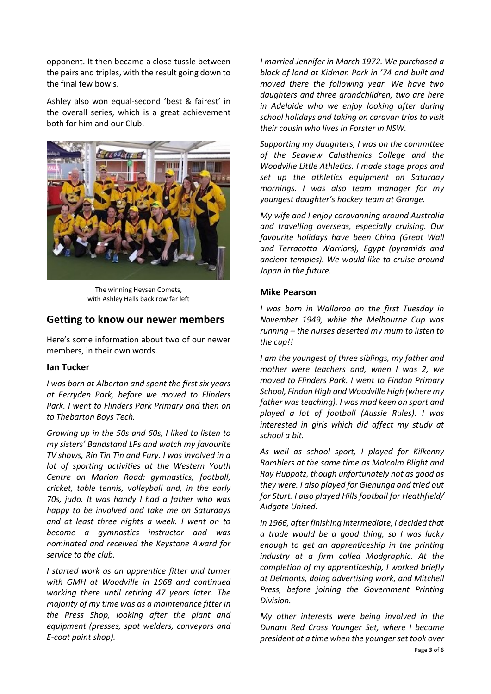opponent. It then became a close tussle between the pairs and triples, with the result going down to the final few bowls.

Ashley also won equal-second 'best & fairest' in the overall series, which is a great achievement both for him and our Club.



The winning Heysen Comets, with Ashley Halls back row far left

## **Getting to know our newer members**

Here's some information about two of our newer members, in their own words.

#### **Ian Tucker**

*I was born at Alberton and spent the first six years at Ferryden Park, before we moved to Flinders Park. I went to Flinders Park Primary and then on to Thebarton Boys Tech.*

*Growing up in the 50s and 60s, I liked to listen to my sisters' Bandstand LPs and watch my favourite TV shows, Rin Tin Tin and Fury. I was involved in a lot of sporting activities at the Western Youth Centre on Marion Road; gymnastics, football, cricket, table tennis, volleyball and, in the early 70s, judo. It was handy I had a father who was happy to be involved and take me on Saturdays and at least three nights a week. I went on to become a gymnastics instructor and was nominated and received the Keystone Award for service to the club.*

*I started work as an apprentice fitter and turner with GMH at Woodville in 1968 and continued working there until retiring 47 years later. The majority of my time was as a maintenance fitter in the Press Shop, looking after the plant and equipment (presses, spot welders, conveyors and E-coat paint shop).*

*I married Jennifer in March 1972. We purchased a block of land at Kidman Park in '74 and built and moved there the following year. We have two daughters and three grandchildren; two are here in Adelaide who we enjoy looking after during school holidays and taking on caravan trips to visit their cousin who lives in Forster in NSW.*

*Supporting my daughters, I was on the committee of the Seaview Calisthenics College and the Woodville Little Athletics. I made stage props and set up the athletics equipment on Saturday mornings. I was also team manager for my youngest daughter's hockey team at Grange.*

*My wife and I enjoy caravanning around Australia and travelling overseas, especially cruising. Our favourite holidays have been China (Great Wall and Terracotta Warriors), Egypt (pyramids and ancient temples). We would like to cruise around Japan in the future.*

#### **Mike Pearson**

*I was born in Wallaroo on the first Tuesday in November 1949, while the Melbourne Cup was running – the nurses deserted my mum to listen to the cup!!*

*I am the youngest of three siblings, my father and mother were teachers and, when I was 2, we moved to Flinders Park. I went to Findon Primary School, Findon High and Woodville High (where my father was teaching). I was mad keen on sport and played a lot of football (Aussie Rules). I was interested in girls which did affect my study at school a bit.*

*As well as school sport, I played for Kilkenny Ramblers at the same time as Malcolm Blight and Ray Huppatz, though unfortunately not as good as they were. I also played for Glenunga and tried out for Sturt. I also played Hills football for Heathfield/ Aldgate United.*

*In 1966, after finishing intermediate, I decided that a trade would be a good thing, so I was lucky enough to get an apprenticeship in the printing industry at a firm called Modgraphic. At the completion of my apprenticeship, I worked briefly at Delmonts, doing advertising work, and Mitchell Press, before joining the Government Printing Division.*

Page **3** of **6** *My other interests were being involved in the Dunant Red Cross Younger Set, where I became president at a time when the younger set took over*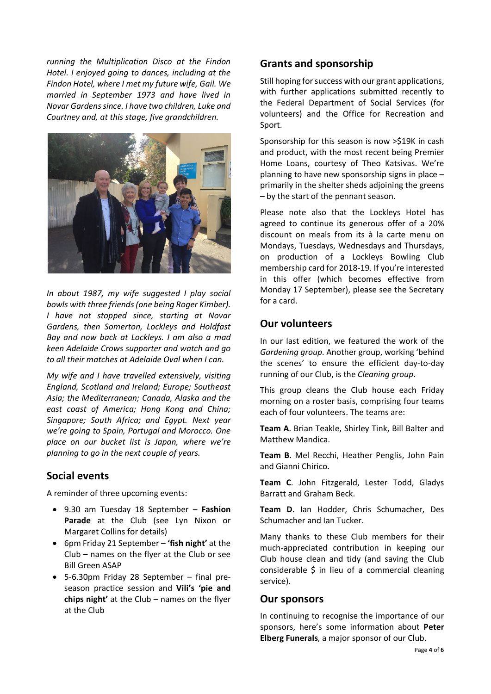*running the Multiplication Disco at the Findon Hotel. I enjoyed going to dances, including at the Findon Hotel, where I met my future wife, Gail. We married in September 1973 and have lived in Novar Gardens since. I have two children, Luke and Courtney and, at this stage, five grandchildren.*



*In about 1987, my wife suggested I play social bowls with three friends (one being Roger Kimber). I have not stopped since, starting at Novar Gardens, then Somerton, Lockleys and Holdfast Bay and now back at Lockleys. I am also a mad keen Adelaide Crows supporter and watch and go to all their matches at Adelaide Oval when I can.*

*My wife and I have travelled extensively, visiting England, Scotland and Ireland; Europe; Southeast Asia; the Mediterranean; Canada, Alaska and the east coast of America; Hong Kong and China; Singapore; South Africa; and Egypt. Next year we're going to Spain, Portugal and Morocco. One place on our bucket list is Japan, where we're planning to go in the next couple of years.*

## **Social events**

A reminder of three upcoming events:

- 9.30 am Tuesday 18 September **Fashion Parade** at the Club (see Lyn Nixon or Margaret Collins for details)
- 6pm Friday 21 September **'fish night'** at the Club – names on the flyer at the Club or see Bill Green ASAP
- 5-6.30pm Friday 28 September final preseason practice session and **Vili's 'pie and chips night'** at the Club – names on the flyer at the Club

## **Grants and sponsorship**

Still hoping for success with our grant applications, with further applications submitted recently to the Federal Department of Social Services (for volunteers) and the Office for Recreation and Sport.

Sponsorship for this season is now >\$19K in cash and product, with the most recent being Premier Home Loans, courtesy of Theo Katsivas. We're planning to have new sponsorship signs in place – primarily in the shelter sheds adjoining the greens – by the start of the pennant season.

Please note also that the Lockleys Hotel has agreed to continue its generous offer of a 20% discount on meals from its à la carte menu on Mondays, Tuesdays, Wednesdays and Thursdays, on production of a Lockleys Bowling Club membership card for 2018-19. If you're interested in this offer (which becomes effective from Monday 17 September), please see the Secretary for a card.

## **Our volunteers**

In our last edition, we featured the work of the *Gardening group*. Another group, working 'behind the scenes' to ensure the efficient day-to-day running of our Club, is the *Cleaning group*.

This group cleans the Club house each Friday morning on a roster basis, comprising four teams each of four volunteers. The teams are:

**Team A**. Brian Teakle, Shirley Tink, Bill Balter and Matthew Mandica.

**Team B**. Mel Recchi, Heather Penglis, John Pain and Gianni Chirico.

**Team C**. John Fitzgerald, Lester Todd, Gladys Barratt and Graham Beck.

**Team D**. Ian Hodder, Chris Schumacher, Des Schumacher and Ian Tucker.

Many thanks to these Club members for their much-appreciated contribution in keeping our Club house clean and tidy (and saving the Club considerable \$ in lieu of a commercial cleaning service).

## **Our sponsors**

In continuing to recognise the importance of our sponsors, here's some information about **Peter Elberg Funerals**, a major sponsor of our Club.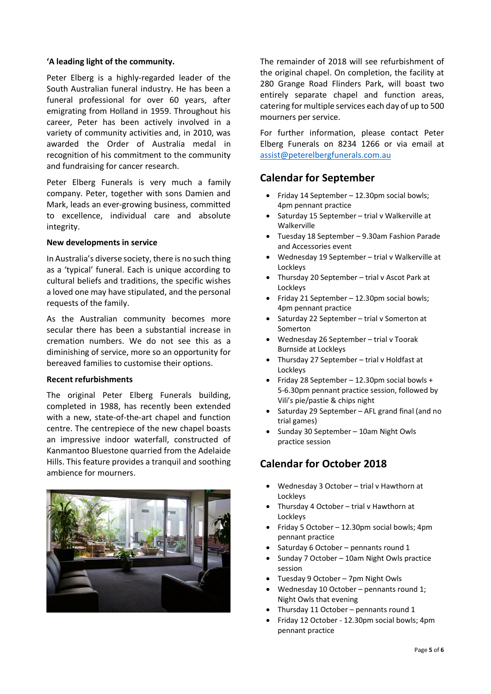#### **'A leading light of the community.**

Peter Elberg is a highly-regarded leader of the South Australian funeral industry. He has been a funeral professional for over 60 years, after emigrating from Holland in 1959. Throughout his career, Peter has been actively involved in a variety of community activities and, in 2010, was awarded the Order of Australia medal in recognition of his commitment to the community and fundraising for cancer research.

Peter Elberg Funerals is very much a family company. Peter, together with sons Damien and Mark, leads an ever-growing business, committed to excellence, individual care and absolute integrity.

#### **New developments in service**

In Australia's diverse society, there is no such thing as a 'typical' funeral. Each is unique according to cultural beliefs and traditions, the specific wishes a loved one may have stipulated, and the personal requests of the family.

As the Australian community becomes more secular there has been a substantial increase in cremation numbers. We do not see this as a diminishing of service, more so an opportunity for bereaved families to customise their options.

#### **Recent refurbishments**

The original Peter Elberg Funerals building, completed in 1988, has recently been extended with a new, state-of-the-art chapel and function centre. The centrepiece of the new chapel boasts an impressive indoor waterfall, constructed of Kanmantoo Bluestone quarried from the Adelaide Hills. This feature provides a tranquil and soothing ambience for mourners.



The remainder of 2018 will see refurbishment of the original chapel. On completion, the facility at 280 Grange Road Flinders Park, will boast two entirely separate chapel and function areas, catering for multiple services each day of up to 500 mourners per service.

For further information, please contact Peter Elberg Funerals on 8234 1266 or via email at [assist@peterelbergfunerals.com.au](mailto:assist@peterelbergfunerals.com.au)

## **Calendar for September**

- Friday 14 September 12.30pm social bowls; 4pm pennant practice
- Saturday 15 September trial v Walkerville at Walkerville
- Tuesday 18 September 9.30am Fashion Parade and Accessories event
- Wednesday 19 September trial v Walkerville at Lockleys
- Thursday 20 September trial v Ascot Park at Lockleys
- Friday 21 September 12.30pm social bowls; 4pm pennant practice
- Saturday 22 September trial v Somerton at Somerton
- Wednesday 26 September trial v Toorak Burnside at Lockleys
- Thursday 27 September trial v Holdfast at Lockleys
- Friday 28 September 12.30pm social bowls + 5-6.30pm pennant practice session, followed by Vili's pie/pastie & chips night
- Saturday 29 September AFL grand final (and no trial games)
- Sunday 30 September 10am Night Owls practice session

# **Calendar for October 2018**

- Wednesday 3 October trial v Hawthorn at Lockleys
- Thursday 4 October trial v Hawthorn at Lockleys
- Friday 5 October 12.30pm social bowls; 4pm pennant practice
- Saturday 6 October pennants round 1
- Sunday 7 October 10am Night Owls practice session
- Tuesday 9 October 7pm Night Owls
- Wednesday 10 October pennants round 1; Night Owls that evening
- Thursday 11 October pennants round 1
- Friday 12 October 12.30pm social bowls; 4pm pennant practice